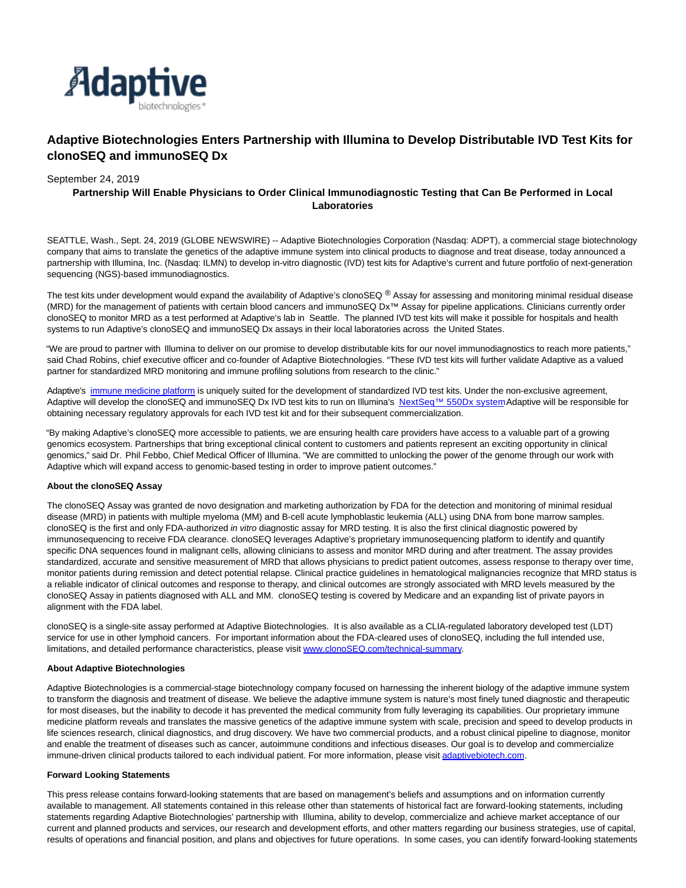

# **Adaptive Biotechnologies Enters Partnership with Illumina to Develop Distributable IVD Test Kits for clonoSEQ and immunoSEQ Dx**

### September 24, 2019

### **Partnership Will Enable Physicians to Order Clinical Immunodiagnostic Testing that Can Be Performed in Local Laboratories**

SEATTLE, Wash., Sept. 24, 2019 (GLOBE NEWSWIRE) -- Adaptive Biotechnologies Corporation (Nasdaq: ADPT), a commercial stage biotechnology company that aims to translate the genetics of the adaptive immune system into clinical products to diagnose and treat disease, today announced a partnership with Illumina, Inc. (Nasdaq: ILMN) to develop in-vitro diagnostic (IVD) test kits for Adaptive's current and future portfolio of next-generation sequencing (NGS)-based immunodiagnostics.

The test kits under development would expand the availability of Adaptive's clonoSEQ ® Assay for assessing and monitoring minimal residual disease (MRD) for the management of patients with certain blood cancers and immunoSEQ Dx™ Assay for pipeline applications. Clinicians currently order clonoSEQ to monitor MRD as a test performed at Adaptive's lab in Seattle. The planned IVD test kits will make it possible for hospitals and health systems to run Adaptive's clonoSEQ and immunoSEQ Dx assays in their local laboratories across the United States.

"We are proud to partner with Illumina to deliver on our promise to develop distributable kits for our novel immunodiagnostics to reach more patients," said Chad Robins, chief executive officer and co-founder of Adaptive Biotechnologies. "These IVD test kits will further validate Adaptive as a valued partner for standardized MRD monitoring and immune profiling solutions from research to the clinic."

Adaptive's [immune medicine platform i](https://www.globenewswire.com/Tracker?data=DJF4cl4aIT4ZqqEt9uD6qifs9M9rynoTtlOwSzQ7-uczV_rBH0M_HHKYrE0q9QOPherA-lWtPZuxe4XX_uSMLtbavYWOr0OomIPbI_oC66gNerYbHV7hp6eZxsgrclfaSmx1CmjPwsYou8xBOyVExQ==)s uniquely suited for the development of standardized IVD test kits. Under the non-exclusive agreement, Adaptive will develop the clonoSEQ and immunoSEQ Dx IVD test kits to run on Illumina's NextSeq™ 550Dx system Adaptive will be responsible for obtaining necessary regulatory approvals for each IVD test kit and for their subsequent commercialization.

"By making Adaptive's clonoSEQ more accessible to patients, we are ensuring health care providers have access to a valuable part of a growing genomics ecosystem. Partnerships that bring exceptional clinical content to customers and patients represent an exciting opportunity in clinical genomics," said Dr. Phil Febbo, Chief Medical Officer of Illumina. "We are committed to unlocking the power of the genome through our work with Adaptive which will expand access to genomic-based testing in order to improve patient outcomes."

#### **About the clonoSEQ Assay**

The clonoSEQ Assay was granted de novo designation and marketing authorization by FDA for the detection and monitoring of minimal residual disease (MRD) in patients with multiple myeloma (MM) and B-cell acute lymphoblastic leukemia (ALL) using DNA from bone marrow samples. clonoSEQ is the first and only FDA-authorized in vitro diagnostic assay for MRD testing. It is also the first clinical diagnostic powered by immunosequencing to receive FDA clearance. clonoSEQ leverages Adaptive's proprietary immunosequencing platform to identify and quantify specific DNA sequences found in malignant cells, allowing clinicians to assess and monitor MRD during and after treatment. The assay provides standardized, accurate and sensitive measurement of MRD that allows physicians to predict patient outcomes, assess response to therapy over time, monitor patients during remission and detect potential relapse. Clinical practice guidelines in hematological malignancies recognize that MRD status is a reliable indicator of clinical outcomes and response to therapy, and clinical outcomes are strongly associated with MRD levels measured by the clonoSEQ Assay in patients diagnosed with ALL and MM. clonoSEQ testing is covered by Medicare and an expanding list of private payors in alignment with the FDA label.

clonoSEQ is a single-site assay performed at Adaptive Biotechnologies. It is also available as a CLIA-regulated laboratory developed test (LDT) service for use in other lymphoid cancers. For important information about the FDA-cleared uses of clonoSEQ, including the full intended use, limitations, and detailed performance characteristics, please visit [www.clonoSEQ.com/technical-summary.](https://www.globenewswire.com/Tracker?data=b86DYsSHe6CDUKbqGuqpNv7BVw8ZCbXWlyl-blvy8zIai26LPXspAdbmoo2VYF5Tov35ftcP0swZiDtA7qh4vlWTLXnwKLvDbUbSq8dMiY1Ou-0qWV3RyvGPadcAmQQQxVN_V89KXbmfMIsKS2h11g==)

#### **About Adaptive Biotechnologies**

Adaptive Biotechnologies is a commercial-stage biotechnology company focused on harnessing the inherent biology of the adaptive immune system to transform the diagnosis and treatment of disease. We believe the adaptive immune system is nature's most finely tuned diagnostic and therapeutic for most diseases, but the inability to decode it has prevented the medical community from fully leveraging its capabilities. Our proprietary immune medicine platform reveals and translates the massive genetics of the adaptive immune system with scale, precision and speed to develop products in life sciences research, clinical diagnostics, and drug discovery. We have two commercial products, and a robust clinical pipeline to diagnose, monitor and enable the treatment of diseases such as cancer, autoimmune conditions and infectious diseases. Our goal is to develop and commercialize immune-driven clinical products tailored to each individual patient. For more information, please visit adaptivebiotech.com.

#### **Forward Looking Statements**

This press release contains forward-looking statements that are based on management's beliefs and assumptions and on information currently available to management. All statements contained in this release other than statements of historical fact are forward-looking statements, including statements regarding Adaptive Biotechnologies' partnership with Illumina, ability to develop, commercialize and achieve market acceptance of our current and planned products and services, our research and development efforts, and other matters regarding our business strategies, use of capital, results of operations and financial position, and plans and objectives for future operations. In some cases, you can identify forward-looking statements